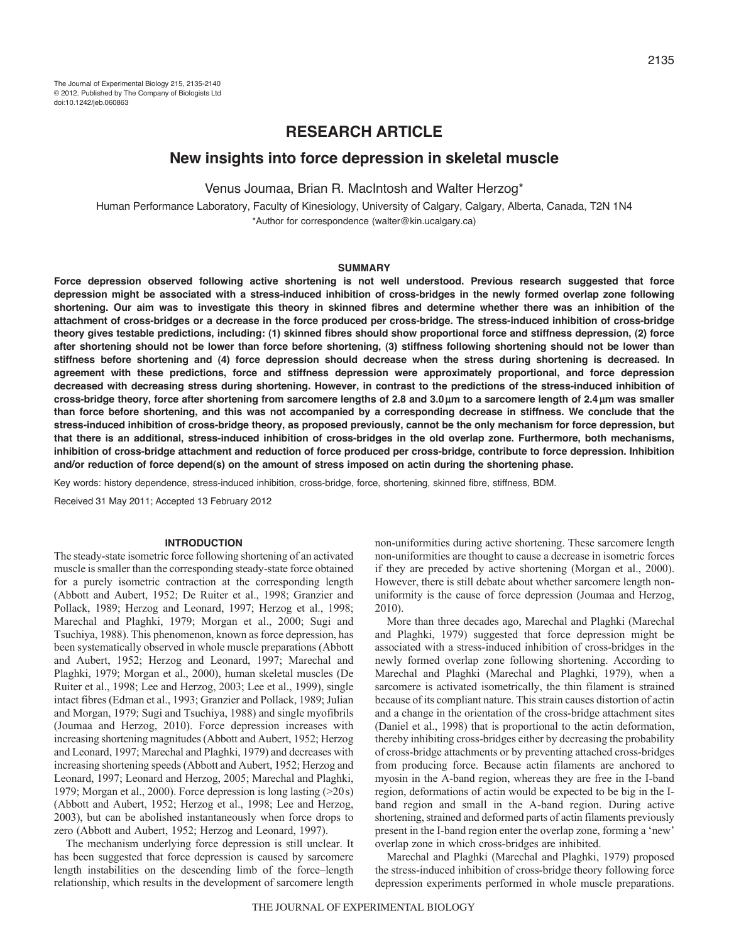# **RESEARCH ARTICLE**

# **New insights into force depression in skeletal muscle**

Venus Joumaa, Brian R. MacIntosh and Walter Herzog\*

Human Performance Laboratory, Faculty of Kinesiology, University of Calgary, Calgary, Alberta, Canada, T2N 1N4 \*Author for correspondence (walter@kin.ucalgary.ca)

### **SUMMARY**

**Force depression observed following active shortening is not well understood. Previous research suggested that force depression might be associated with a stress-induced inhibition of cross-bridges in the newly formed overlap zone following shortening. Our aim was to investigate this theory in skinned fibres and determine whether there was an inhibition of the attachment of cross-bridges or a decrease in the force produced per cross-bridge. The stress-induced inhibition of cross-bridge theory gives testable predictions, including: (1) skinned fibres should show proportional force and stiffness depression, (2) force after shortening should not be lower than force before shortening, (3) stiffness following shortening should not be lower than stiffness before shortening and (4) force depression should decrease when the stress during shortening is decreased. In agreement with these predictions, force and stiffness depression were approximately proportional, and force depression decreased with decreasing stress during shortening. However, in contrast to the predictions of the stress-induced inhibition of cross-bridge theory, force after shortening from sarcomere lengths of 2.8 and 3.0m to a sarcomere length of 2.4 m was smaller than force before shortening, and this was not accompanied by a corresponding decrease in stiffness. We conclude that the stress-induced inhibition of cross-bridge theory, as proposed previously, cannot be the only mechanism for force depression, but that there is an additional, stress-induced inhibition of cross-bridges in the old overlap zone. Furthermore, both mechanisms, inhibition of cross-bridge attachment and reduction of force produced per cross-bridge, contribute to force depression. Inhibition and/or reduction of force depend(s) on the amount of stress imposed on actin during the shortening phase.**

Key words: history dependence, stress-induced inhibition, cross-bridge, force, shortening, skinned fibre, stiffness, BDM.

Received 31 May 2011; Accepted 13 February 2012

### **INTRODUCTION**

The steady-state isometric force following shortening of an activated muscle is smaller than the corresponding steady-state force obtained for a purely isometric contraction at the corresponding length (Abbott and Aubert, 1952; De Ruiter et al., 1998; Granzier and Pollack, 1989; Herzog and Leonard, 1997; Herzog et al., 1998; Marechal and Plaghki, 1979; Morgan et al., 2000; Sugi and Tsuchiya, 1988). This phenomenon, known as force depression, has been systematically observed in whole muscle preparations (Abbott and Aubert, 1952; Herzog and Leonard, 1997; Marechal and Plaghki, 1979; Morgan et al., 2000), human skeletal muscles (De Ruiter et al., 1998; Lee and Herzog, 2003; Lee et al., 1999), single intact fibres (Edman et al., 1993; Granzier and Pollack, 1989; Julian and Morgan, 1979; Sugi and Tsuchiya, 1988) and single myofibrils (Joumaa and Herzog, 2010). Force depression increases with increasing shortening magnitudes (Abbott and Aubert, 1952; Herzog and Leonard, 1997; Marechal and Plaghki, 1979) and decreases with increasing shortening speeds (Abbott and Aubert, 1952; Herzog and Leonard, 1997; Leonard and Herzog, 2005; Marechal and Plaghki, 1979; Morgan et al., 2000). Force depression is long lasting (>20s) (Abbott and Aubert, 1952; Herzog et al., 1998; Lee and Herzog, 2003), but can be abolished instantaneously when force drops to zero (Abbott and Aubert, 1952; Herzog and Leonard, 1997).

The mechanism underlying force depression is still unclear. It has been suggested that force depression is caused by sarcomere length instabilities on the descending limb of the force–length relationship, which results in the development of sarcomere length non-uniformities during active shortening. These sarcomere length non-uniformities are thought to cause a decrease in isometric forces if they are preceded by active shortening (Morgan et al., 2000). However, there is still debate about whether sarcomere length nonuniformity is the cause of force depression (Joumaa and Herzog, 2010).

More than three decades ago, Marechal and Plaghki (Marechal and Plaghki, 1979) suggested that force depression might be associated with a stress-induced inhibition of cross-bridges in the newly formed overlap zone following shortening. According to Marechal and Plaghki (Marechal and Plaghki, 1979), when a sarcomere is activated isometrically, the thin filament is strained because of its compliant nature. This strain causes distortion of actin and a change in the orientation of the cross-bridge attachment sites (Daniel et al., 1998) that is proportional to the actin deformation, thereby inhibiting cross-bridges either by decreasing the probability of cross-bridge attachments or by preventing attached cross-bridges from producing force. Because actin filaments are anchored to myosin in the A-band region, whereas they are free in the I-band region, deformations of actin would be expected to be big in the Iband region and small in the A-band region. During active shortening, strained and deformed parts of actin filaments previously present in the I-band region enter the overlap zone, forming a 'new' overlap zone in which cross-bridges are inhibited.

Marechal and Plaghki (Marechal and Plaghki, 1979) proposed the stress-induced inhibition of cross-bridge theory following force depression experiments performed in whole muscle preparations.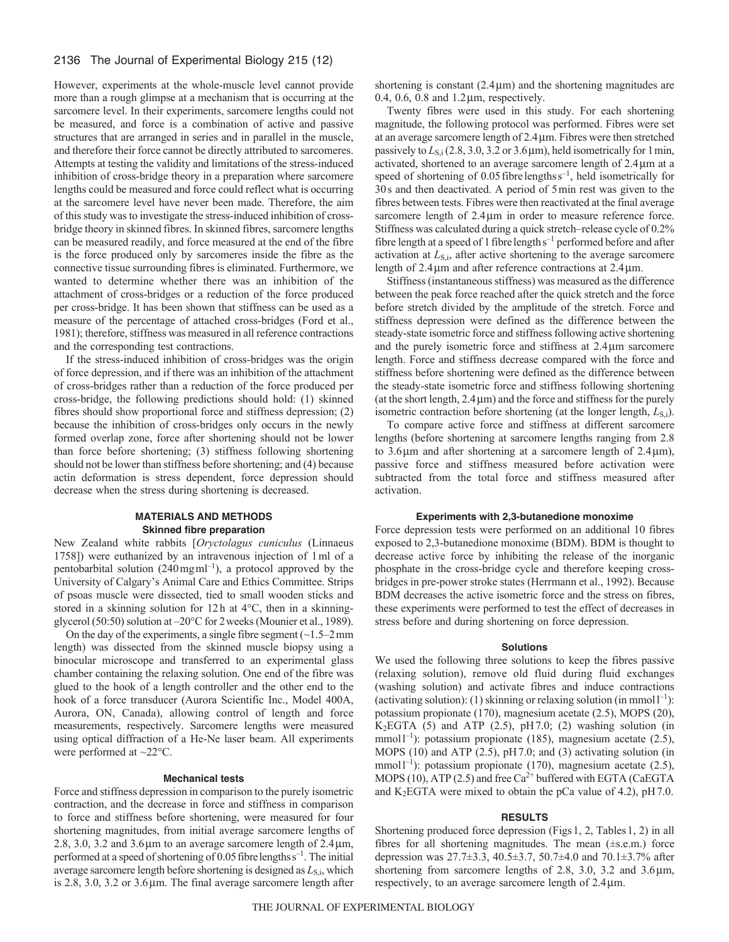## 2136 The Journal of Experimental Biology 215 (12)

However, experiments at the whole-muscle level cannot provide more than a rough glimpse at a mechanism that is occurring at the sarcomere level. In their experiments, sarcomere lengths could not be measured, and force is a combination of active and passive structures that are arranged in series and in parallel in the muscle, and therefore their force cannot be directly attributed to sarcomeres. Attempts at testing the validity and limitations of the stress-induced inhibition of cross-bridge theory in a preparation where sarcomere lengths could be measured and force could reflect what is occurring at the sarcomere level have never been made. Therefore, the aim of this study was to investigate the stress-induced inhibition of crossbridge theory in skinned fibres. In skinned fibres, sarcomere lengths can be measured readily, and force measured at the end of the fibre is the force produced only by sarcomeres inside the fibre as the connective tissue surrounding fibres is eliminated. Furthermore, we wanted to determine whether there was an inhibition of the attachment of cross-bridges or a reduction of the force produced per cross-bridge. It has been shown that stiffness can be used as a measure of the percentage of attached cross-bridges (Ford et al., 1981); therefore, stiffness was measured in all reference contractions and the corresponding test contractions.

If the stress-induced inhibition of cross-bridges was the origin of force depression, and if there was an inhibition of the attachment of cross-bridges rather than a reduction of the force produced per cross-bridge, the following predictions should hold: (1) skinned fibres should show proportional force and stiffness depression; (2) because the inhibition of cross-bridges only occurs in the newly formed overlap zone, force after shortening should not be lower than force before shortening; (3) stiffness following shortening should not be lower than stiffness before shortening; and (4) because actin deformation is stress dependent, force depression should decrease when the stress during shortening is decreased.

## **MATERIALS AND METHODS Skinned fibre preparation**

New Zealand white rabbits [*Oryctolagus cuniculus* (Linnaeus 1758]) were euthanized by an intravenous injection of 1ml of a pentobarbital solution  $(240 \text{ mg} \text{m} \text{m}^{-1})$ , a protocol approved by the University of Calgary's Animal Care and Ethics Committee. Strips of psoas muscle were dissected, tied to small wooden sticks and stored in a skinning solution for 12h at 4°C, then in a skinningglycerol (50:50) solution at –20°C for 2weeks (Mounier et al., 1989).

On the day of the experiments, a single fibre segment  $(\sim 1.5-2 \text{ mm})$ length) was dissected from the skinned muscle biopsy using a binocular microscope and transferred to an experimental glass chamber containing the relaxing solution. One end of the fibre was glued to the hook of a length controller and the other end to the hook of a force transducer (Aurora Scientific Inc., Model 400A, Aurora, ON, Canada), allowing control of length and force measurements, respectively. Sarcomere lengths were measured using optical diffraction of a He-Ne laser beam. All experiments were performed at ~22°C.

## **Mechanical tests**

Force and stiffness depression in comparison to the purely isometric contraction, and the decrease in force and stiffness in comparison to force and stiffness before shortening, were measured for four shortening magnitudes, from initial average sarcomere lengths of 2.8, 3.0, 3.2 and 3.6  $\mu$ m to an average sarcomere length of 2.4  $\mu$ m, performed at a speed of shortening of 0.05 fibre lengths s<sup>-1</sup>. The initial average sarcomere length before shortening is designed as  $L_{\text{S,i}}$ , which is  $2.8$ ,  $3.0$ ,  $3.2$  or  $3.6 \mu m$ . The final average sarcomere length after

shortening is constant  $(2.4 \mu m)$  and the shortening magnitudes are 0.4, 0.6, 0.8 and  $1.2 \mu m$ , respectively.

Twenty fibres were used in this study. For each shortening magnitude, the following protocol was performed. Fibres were set at an average sarcomere length of 2.4m. Fibres were then stretched passively to  $L_{\rm S,i}$  (2.8, 3.0, 3.2 or 3.6  $\mu$ m), held isometrically for 1 min, activated, shortened to an average sarcomere length of 2.4 um at a speed of shortening of 0.05 fibre lengths  $s^{-1}$ , held isometrically for 30s and then deactivated. A period of 5min rest was given to the fibres between tests. Fibres were then reactivated at the final average sarcomere length of 2.4  $\mu$ m in order to measure reference force. Stiffness was calculated during a quick stretch–release cycle of 0.2% fibre length at a speed of 1 fibre length  $s^{-1}$  performed before and after activation at *L*<sub>S,i</sub>, after active shortening to the average sarcomere length of  $2.4 \mu m$  and after reference contractions at  $2.4 \mu m$ .

Stiffness (instantaneous stiffness) was measured as the difference between the peak force reached after the quick stretch and the force before stretch divided by the amplitude of the stretch. Force and stiffness depression were defined as the difference between the steady-state isometric force and stiffness following active shortening and the purely isometric force and stiffness at  $2.4 \mu m$  sarcomere length. Force and stiffness decrease compared with the force and stiffness before shortening were defined as the difference between the steady-state isometric force and stiffness following shortening (at the short length,  $2.4 \mu m$ ) and the force and stiffness for the purely isometric contraction before shortening (at the longer length, *L*<sub>S,i</sub>).

To compare active force and stiffness at different sarcomere lengths (before shortening at sarcomere lengths ranging from 2.8 to 3.6 $\mu$ m and after shortening at a sarcomere length of 2.4 $\mu$ m), passive force and stiffness measured before activation were subtracted from the total force and stiffness measured after activation.

### **Experiments with 2,3-butanedione monoxime**

Force depression tests were performed on an additional 10 fibres exposed to 2,3-butanedione monoxime (BDM). BDM is thought to decrease active force by inhibiting the release of the inorganic phosphate in the cross-bridge cycle and therefore keeping crossbridges in pre-power stroke states (Herrmann et al., 1992). Because BDM decreases the active isometric force and the stress on fibres, these experiments were performed to test the effect of decreases in stress before and during shortening on force depression.

#### **Solutions**

We used the following three solutions to keep the fibres passive (relaxing solution), remove old fluid during fluid exchanges (washing solution) and activate fibres and induce contractions (activating solution): (1) skinning or relaxing solution (in mmol<sup>1-1</sup>): potassium propionate (170), magnesium acetate (2.5), MOPS (20),  $K<sub>2</sub>EGTA$  (5) and ATP (2.5), pH7.0; (2) washing solution (in mmol $l^{-1}$ ): potassium propionate (185), magnesium acetate (2.5), MOPS (10) and ATP (2.5), pH7.0; and (3) activating solution (in mmol<sup> $1^{-1}$ </sup>): potassium propionate (170), magnesium acetate (2.5), MOPS (10), ATP (2.5) and free  $Ca^{2+}$  buffered with EGTA (CaEGTA and  $K_2$ EGTA were mixed to obtain the pCa value of 4.2), pH 7.0.

## **RESULTS**

Shortening produced force depression (Figs1, 2, Tables1, 2) in all fibres for all shortening magnitudes. The mean (±s.e.m.) force depression was 27.7±3.3, 40.5±3.7, 50.7±4.0 and 70.1±3.7% after shortening from sarcomere lengths of 2.8, 3.0, 3.2 and  $3.6 \mu m$ , respectively, to an average sarcomere length of  $2.4 \mu m$ .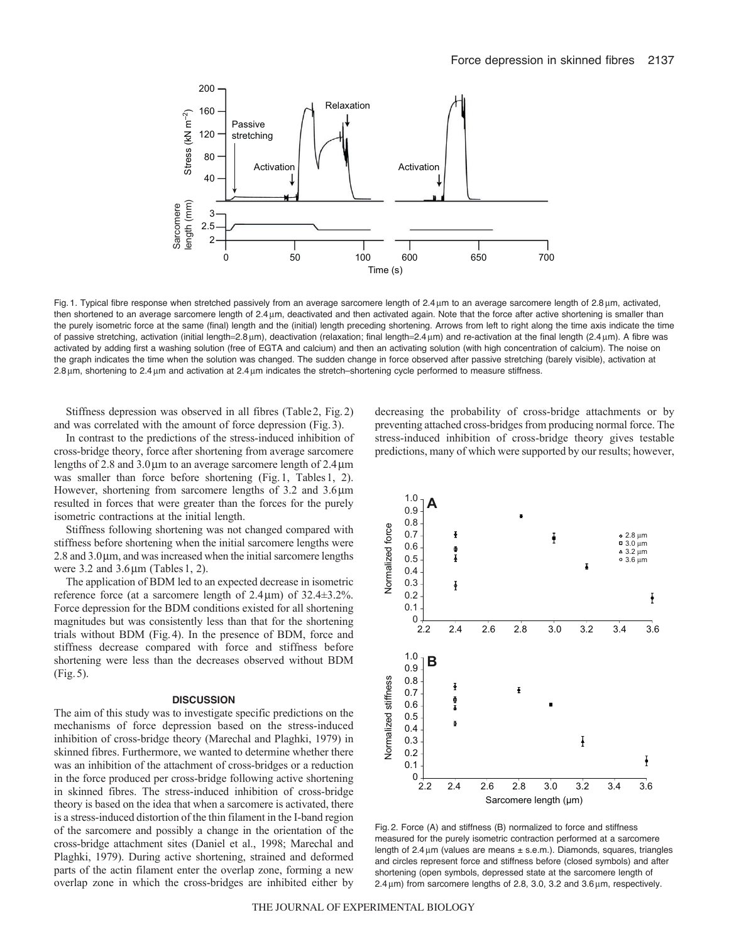

Fig. 1. Typical fibre response when stretched passively from an average sarcomere length of 2.4 µm to an average sarcomere length of 2.8 µm, activated, then shortened to an average sarcomere length of 2.4 µm, deactivated and then activated again. Note that the force after active shortening is smaller than the purely isometric force at the same (final) length and the (initial) length preceding shortening. Arrows from left to right along the time axis indicate the time of passive stretching, activation (initial length=2.8  $\mu$ m), deactivation (relaxation; final length=2.4  $\mu$ m) and re-activation at the final length (2.4  $\mu$ m). A fibre was activated by adding first a washing solution (free of EGTA and calcium) and then an activating solution (with high concentration of calcium). The noise on the graph indicates the time when the solution was changed. The sudden change in force observed after passive stretching (barely visible), activation at 2.8 um, shortening to 2.4 um and activation at 2.4 um indicates the stretch–shortening cycle performed to measure stiffness.

Stiffness depression was observed in all fibres (Table2, Fig.2) and was correlated with the amount of force depression (Fig.3).

In contrast to the predictions of the stress-induced inhibition of cross-bridge theory, force after shortening from average sarcomere lengths of 2.8 and  $3.0 \mu$ m to an average sarcomere length of  $2.4 \mu$ m was smaller than force before shortening (Fig.1, Tables1, 2). However, shortening from sarcomere lengths of  $3.2$  and  $3.6 \mu m$ resulted in forces that were greater than the forces for the purely isometric contractions at the initial length.

Stiffness following shortening was not changed compared with stiffness before shortening when the initial sarcomere lengths were  $2.8$  and  $3.0 \mu$ m, and was increased when the initial sarcomere lengths were  $3.2$  and  $3.6 \mu m$  (Tables 1, 2).

The application of BDM led to an expected decrease in isometric reference force (at a sarcomere length of  $2.4 \mu m$ ) of  $32.4 \pm 3.2\%$ . Force depression for the BDM conditions existed for all shortening magnitudes but was consistently less than that for the shortening trials without BDM (Fig.4). In the presence of BDM, force and stiffness decrease compared with force and stiffness before shortening were less than the decreases observed without BDM (Fig.5).

### **DISCUSSION**

The aim of this study was to investigate specific predictions on the mechanisms of force depression based on the stress-induced inhibition of cross-bridge theory (Marechal and Plaghki, 1979) in skinned fibres. Furthermore, we wanted to determine whether there was an inhibition of the attachment of cross-bridges or a reduction in the force produced per cross-bridge following active shortening in skinned fibres. The stress-induced inhibition of cross-bridge theory is based on the idea that when a sarcomere is activated, there is a stress-induced distortion of the thin filament in the I-band region of the sarcomere and possibly a change in the orientation of the cross-bridge attachment sites (Daniel et al., 1998; Marechal and Plaghki, 1979). During active shortening, strained and deformed parts of the actin filament enter the overlap zone, forming a new overlap zone in which the cross-bridges are inhibited either by decreasing the probability of cross-bridge attachments or by preventing attached cross-bridges from producing normal force. The stress-induced inhibition of cross-bridge theory gives testable predictions, many of which were supported by our results; however,



Fig. 2. Force (A) and stiffness (B) normalized to force and stiffness measured for the purely isometric contraction performed at a sarcomere length of  $2.4 \mu m$  (values are means  $\pm$  s.e.m.). Diamonds, squares, triangles and circles represent force and stiffness before (closed symbols) and after shortening (open symbols, depressed state at the sarcomere length of  $2.4 \,\mu$ m) from sarcomere lengths of 2.8, 3.0, 3.2 and 3.6  $\mu$ m, respectively.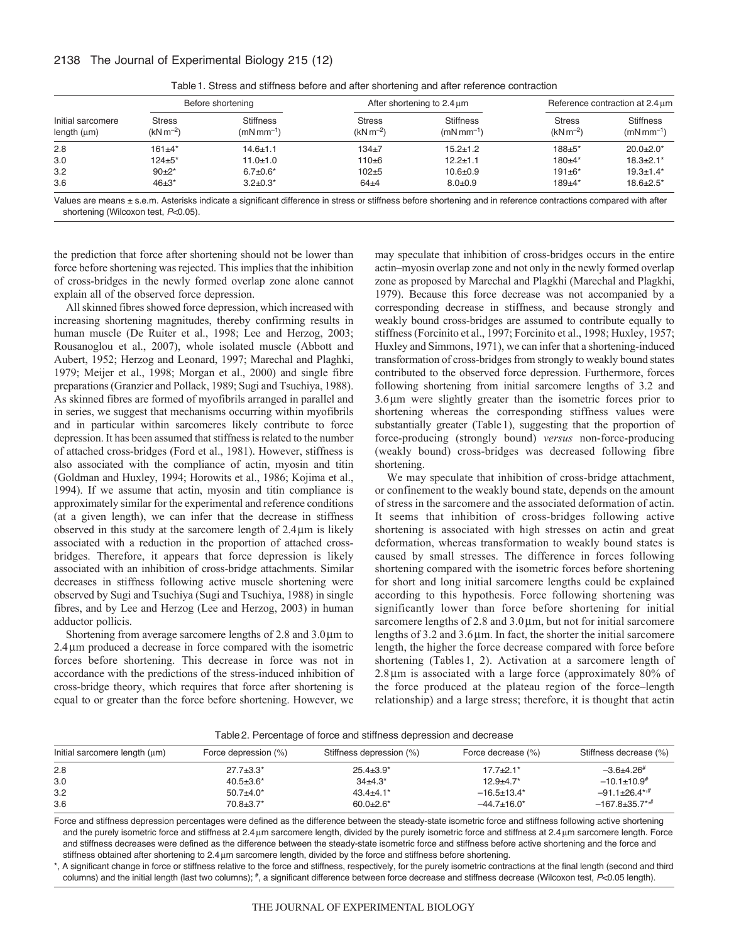# 2138 The Journal of Experimental Biology 215 (12)

| Initial sarcomere<br>length $(\mu m)$ | Before shortening              |                                     | After shortening to $2.4 \mu m$ |                                   | Reference contraction at 2.4 um |                                   |
|---------------------------------------|--------------------------------|-------------------------------------|---------------------------------|-----------------------------------|---------------------------------|-----------------------------------|
|                                       | <b>Stress</b><br>$(kN m^{-2})$ | <b>Stiffness</b><br>$(mNmm^{-1})$   | <b>Stress</b><br>$(kN m^{-2})$  | <b>Stiffness</b><br>$(mNmm^{-1})$ | <b>Stress</b><br>$(kN m^{-2})$  | <b>Stiffness</b><br>$(mNmm^{-1})$ |
| 2.8                                   | $161 + 4*$                     | $14.6 \pm 1.1$                      | $134+7$                         | $15.2 \pm 1.2$                    | $188 + 5*$                      | $20.0+2.0*$                       |
| 3.0                                   | $124 + 5*$                     | $11.0 + 1.0$                        | $110 + 6$                       | $12.2 + 1.1$                      | $180+4*$                        | $18.3 + 2.1*$                     |
| 3.2                                   | $90+2*$                        | $6.7 \pm 0.6^*$                     | $102 + 5$                       | $10.6 + 0.9$                      | $191 + 6*$                      | $19.3 \pm 1.4*$                   |
| 3.6                                   | $46 + 3*$                      | $3.2 \pm 0.3^*$                     | $64 + 4$                        | $8.0 + 0.9$                       | $189 + 4*$                      | $18.6 \pm 2.5^*$                  |
| $\cdots$                              | .                              | $\cdot$ $\cdot$ $\cdot$<br>$\cdots$ | .<br>$\sim$                     | .                                 |                                 | $\cdots$                          |

Table1. Stress and stiffness before and after shortening and after reference contraction

Values are means  $\pm$  s.e.m. Asterisks indicate a significant difference in stress or stiffness before shortening and in reference contractions compared with after shortening (Wilcoxon test, *P*<0.05).

the prediction that force after shortening should not be lower than force before shortening was rejected. This implies that the inhibition of cross-bridges in the newly formed overlap zone alone cannot explain all of the observed force depression.

All skinned fibres showed force depression, which increased with increasing shortening magnitudes, thereby confirming results in human muscle (De Ruiter et al., 1998; Lee and Herzog, 2003; Rousanoglou et al., 2007), whole isolated muscle (Abbott and Aubert, 1952; Herzog and Leonard, 1997; Marechal and Plaghki, 1979; Meijer et al., 1998; Morgan et al., 2000) and single fibre preparations (Granzier and Pollack, 1989; Sugi and Tsuchiya, 1988). As skinned fibres are formed of myofibrils arranged in parallel and in series, we suggest that mechanisms occurring within myofibrils and in particular within sarcomeres likely contribute to force depression. It has been assumed that stiffness is related to the number of attached cross-bridges (Ford et al., 1981). However, stiffness is also associated with the compliance of actin, myosin and titin (Goldman and Huxley, 1994; Horowits et al., 1986; Kojima et al., 1994). If we assume that actin, myosin and titin compliance is approximately similar for the experimental and reference conditions (at a given length), we can infer that the decrease in stiffness observed in this study at the sarcomere length of  $2.4 \mu m$  is likely associated with a reduction in the proportion of attached crossbridges. Therefore, it appears that force depression is likely associated with an inhibition of cross-bridge attachments. Similar decreases in stiffness following active muscle shortening were observed by Sugi and Tsuchiya (Sugi and Tsuchiya, 1988) in single fibres, and by Lee and Herzog (Lee and Herzog, 2003) in human adductor pollicis.

Shortening from average sarcomere lengths of  $2.8$  and  $3.0 \mu m$  to 2.4 µm produced a decrease in force compared with the isometric forces before shortening. This decrease in force was not in accordance with the predictions of the stress-induced inhibition of cross-bridge theory, which requires that force after shortening is equal to or greater than the force before shortening. However, we

may speculate that inhibition of cross-bridges occurs in the entire actin–myosin overlap zone and not only in the newly formed overlap zone as proposed by Marechal and Plagkhi (Marechal and Plagkhi, 1979). Because this force decrease was not accompanied by a corresponding decrease in stiffness, and because strongly and weakly bound cross-bridges are assumed to contribute equally to stiffness (Forcinito et al., 1997; Forcinito et al., 1998; Huxley, 1957; Huxley and Simmons, 1971), we can infer that a shortening-induced transformation of cross-bridges from strongly to weakly bound states contributed to the observed force depression. Furthermore, forces following shortening from initial sarcomere lengths of 3.2 and  $3.6 \mu m$  were slightly greater than the isometric forces prior to shortening whereas the corresponding stiffness values were substantially greater (Table1), suggesting that the proportion of force-producing (strongly bound) *versus* non-force-producing (weakly bound) cross-bridges was decreased following fibre shortening.

We may speculate that inhibition of cross-bridge attachment, or confinement to the weakly bound state, depends on the amount of stress in the sarcomere and the associated deformation of actin. It seems that inhibition of cross-bridges following active shortening is associated with high stresses on actin and great deformation, whereas transformation to weakly bound states is caused by small stresses. The difference in forces following shortening compared with the isometric forces before shortening for short and long initial sarcomere lengths could be explained according to this hypothesis. Force following shortening was significantly lower than force before shortening for initial sarcomere lengths of  $2.8$  and  $3.0 \mu$ m, but not for initial sarcomere lengths of  $3.2$  and  $3.6 \mu$ m. In fact, the shorter the initial sarcomere length, the higher the force decrease compared with force before shortening (Tables 1, 2). Activation at a sarcomere length of  $2.8 \mu m$  is associated with a large force (approximately  $80\%$  of the force produced at the plateau region of the force–length relationship) and a large stress; therefore, it is thought that actin

Table2. Percentage of force and stiffness depression and decrease

| Initial sarcomere length (um) | Force depression (%) | Stiffness depression (%) | Force decrease (%) | Stiffness decrease (%)           |
|-------------------------------|----------------------|--------------------------|--------------------|----------------------------------|
| 2.8                           | $27.7 \pm 3.3^*$     | $25.4 \pm 3.9^*$         | $17.7 + 2.1*$      | $-3.6+4.26^{\#}$                 |
| 3.0                           | $40.5 \pm 3.6^*$     | $34\pm4.3*$              | $12.9 + 4.7*$      | $-10.1 \pm 10.9^{\#}$            |
| 3.2                           | $50.7 + 4.0*$        | $43.4 + 4.1*$            | $-16.5 \pm 13.4^*$ | $-91.1 \pm 26.4$ **              |
| 3.6                           | $70.8 \pm 3.7^*$     | $60.0 + 2.6*$            | $-44.7 \pm 16.0^*$ | $-167.8 \pm 35.7$ <sup>*,#</sup> |

Force and stiffness depression percentages were defined as the difference between the steady-state isometric force and stiffness following active shortening and the purely isometric force and stiffness at 2.4 µm sarcomere length, divided by the purely isometric force and stiffness at 2.4 µm sarcomere length. Force and stiffness decreases were defined as the difference between the steady-state isometric force and stiffness before active shortening and the force and stiffness obtained after shortening to 2.4 µm sarcomere length, divided by the force and stiffness before shortening.

\*, A significant change in force or stiffness relative to the force and stiffness, respectively, for the purely isometric contractions at the final length (second and third columns) and the initial length (last two columns); #, a significant difference between force decrease and stiffness decrease (Wilcoxon test, *P*<0.05 length).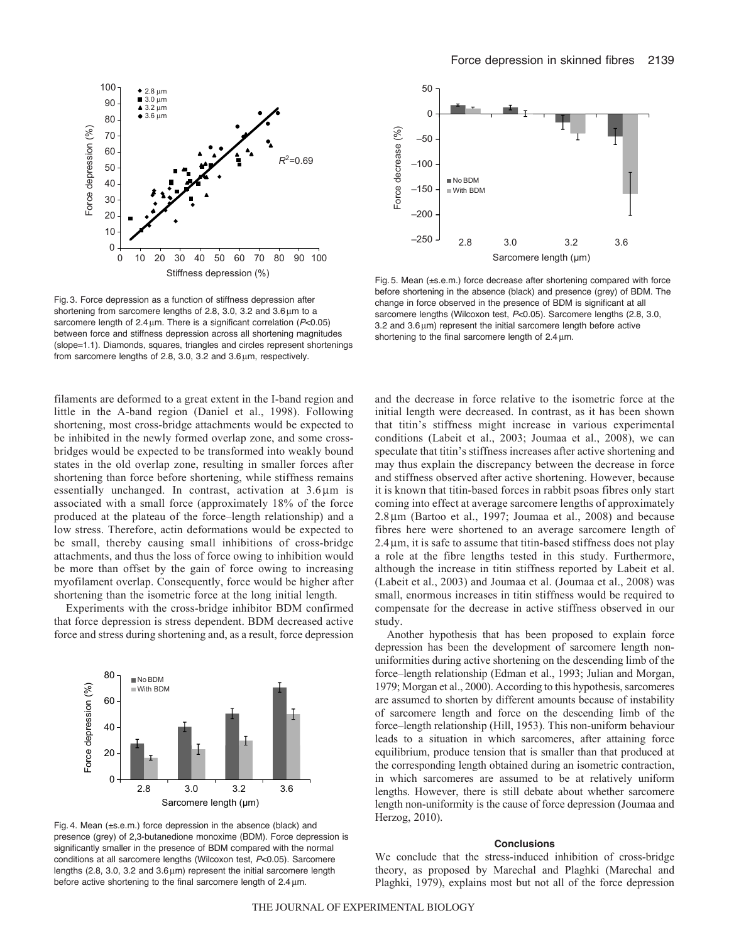

Fig. 3. Force depression as a function of stiffness depression after shortening from sarcomere lengths of 2.8, 3.0, 3.2 and  $3.6 \mu m$  to a sarcomere length of 2.4 µm. There is a significant correlation ( $P<0.05$ ) between force and stiffness depression across all shortening magnitudes (slope=1.1). Diamonds, squares, triangles and circles represent shortenings from sarcomere lengths of 2.8, 3.0, 3.2 and  $3.6 \,\mathrm{µm}$ , respectively.

filaments are deformed to a great extent in the I-band region and little in the A-band region (Daniel et al., 1998). Following shortening, most cross-bridge attachments would be expected to be inhibited in the newly formed overlap zone, and some crossbridges would be expected to be transformed into weakly bound states in the old overlap zone, resulting in smaller forces after shortening than force before shortening, while stiffness remains essentially unchanged. In contrast, activation at  $3.6 \mu m$  is associated with a small force (approximately 18% of the force produced at the plateau of the force–length relationship) and a low stress. Therefore, actin deformations would be expected to be small, thereby causing small inhibitions of cross-bridge attachments, and thus the loss of force owing to inhibition would be more than offset by the gain of force owing to increasing myofilament overlap. Consequently, force would be higher after shortening than the isometric force at the long initial length.

Experiments with the cross-bridge inhibitor BDM confirmed that force depression is stress dependent. BDM decreased active force and stress during shortening and, as a result, force depression



Fig. 4. Mean (±s.e.m.) force depression in the absence (black) and presence (grey) of 2,3-butanedione monoxime (BDM). Force depression is significantly smaller in the presence of BDM compared with the normal conditions at all sarcomere lengths (Wilcoxon test, *P*<0.05). Sarcomere lengths (2.8, 3.0, 3.2 and  $3.6 \mu m$ ) represent the initial sarcomere length before active shortening to the final sarcomere length of  $2.4 \mu m$ .



Fig. 5. Mean (±s.e.m.) force decrease after shortening compared with force before shortening in the absence (black) and presence (grey) of BDM. The change in force observed in the presence of BDM is significant at all sarcomere lengths (Wilcoxon test, *P*<0.05). Sarcomere lengths (2.8, 3.0,  $3.2$  and  $3.6 \mu m$ ) represent the initial sarcomere length before active shortening to the final sarcomere length of  $2.4 \,\text{\textmu m}$ .

and the decrease in force relative to the isometric force at the initial length were decreased. In contrast, as it has been shown that titin's stiffness might increase in various experimental conditions (Labeit et al., 2003; Joumaa et al., 2008), we can speculate that titin's stiffness increases after active shortening and may thus explain the discrepancy between the decrease in force and stiffness observed after active shortening. However, because it is known that titin-based forces in rabbit psoas fibres only start coming into effect at average sarcomere lengths of approximately  $2.8\,\mu$ m (Bartoo et al., 1997; Joumaa et al., 2008) and because fibres here were shortened to an average sarcomere length of 2.4m, it is safe to assume that titin-based stiffness does not play a role at the fibre lengths tested in this study. Furthermore, although the increase in titin stiffness reported by Labeit et al. (Labeit et al., 2003) and Joumaa et al. (Joumaa et al., 2008) was small, enormous increases in titin stiffness would be required to compensate for the decrease in active stiffness observed in our study.

Another hypothesis that has been proposed to explain force depression has been the development of sarcomere length nonuniformities during active shortening on the descending limb of the force–length relationship (Edman et al., 1993; Julian and Morgan, 1979; Morgan et al., 2000). According to this hypothesis, sarcomeres are assumed to shorten by different amounts because of instability of sarcomere length and force on the descending limb of the force–length relationship (Hill, 1953). This non-uniform behaviour leads to a situation in which sarcomeres, after attaining force equilibrium, produce tension that is smaller than that produced at the corresponding length obtained during an isometric contraction, in which sarcomeres are assumed to be at relatively uniform lengths. However, there is still debate about whether sarcomere length non-uniformity is the cause of force depression (Joumaa and Herzog, 2010).

### **Conclusions**

We conclude that the stress-induced inhibition of cross-bridge theory, as proposed by Marechal and Plaghki (Marechal and Plaghki, 1979), explains most but not all of the force depression